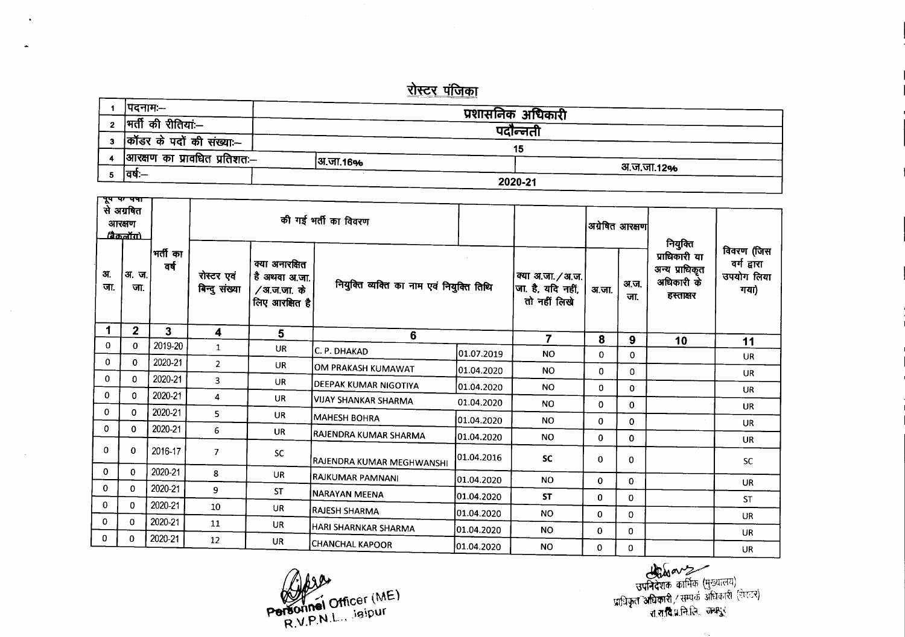## <u>रोस्टर पंजिका</u>

| ।पदनामः—                     |          | प्रशासनिक अधिकारी |  |
|------------------------------|----------|-------------------|--|
| मर्ती की रीतिया:—            |          |                   |  |
| कॉडर के पदों की संख्या:--    |          | पदान्नती          |  |
|                              |          | 15                |  |
| आरक्षण का प्रावधित प्रतिशतः— | अ.जा.16% |                   |  |
| ।वषः—                        |          | अ.ज.जा.12%        |  |
|                              |          | 2020-21           |  |

|              | से अग्रबित<br>आरक्षण<br><u>(தேவர்ய)</u> |                  | की गई भर्ती का विवरण        |                                                                    |                                           |                                                        |                |              | अग्रेषित आरक्षण                                            | नियुक्ति                                        |            |
|--------------|-----------------------------------------|------------------|-----------------------------|--------------------------------------------------------------------|-------------------------------------------|--------------------------------------------------------|----------------|--------------|------------------------------------------------------------|-------------------------------------------------|------------|
| अ.<br>जा.    | अ.ज.<br>जा.                             | भर्ती का<br>वर्ष | रोस्टर एवं<br>बिन्दु संख्या | क्या अनारक्षित<br>, है अथवा अ.जा.<br>/अ.ज.जा. के<br>लिए आरक्षित है | नियुक्ति व्यक्ति का नाम एवं नियुक्ति तिथि | क्या अ.जा. / अ.ज.<br>जा. है, यदि नहीं,<br>तो नहीं लिखे | अ.जा.          | अ.ज.<br>जा.  | प्राधिकारी या<br>अन्य प्राधिकृत<br>अधिकारी के<br>हस्ताक्षर | विवरण (जिस<br>वर्ग द्वारा<br>उपयोग लिया<br>गया) |            |
|              | $\overline{2}$                          | 3                | 4                           | 5                                                                  | 6                                         |                                                        | $\overline{7}$ | 8            | 9                                                          | 10                                              | 11         |
| 0            | 0                                       | 2019-20          | $\mathbf{1}$                | <b>UR</b>                                                          | C. P. DHAKAD                              | 01.07.2019                                             | <b>NO</b>      | 0            | $\mathbf{0}$                                               |                                                 | <b>UR</b>  |
| 0            | 0                                       | 2020-21          | $\overline{2}$              | <b>UR</b>                                                          | OM PRAKASH KUMAWAT                        | 01.04.2020                                             | <b>NO</b>      | 0            | 0                                                          |                                                 | <b>UR</b>  |
| 0            | 0                                       | 2020-21          | 3                           | <b>UR</b>                                                          | DEEPAK KUMAR NIGOTIYA                     | 01.04.2020                                             | <b>NO</b>      | 0            | $\mathbf 0$                                                |                                                 | <b>UR</b>  |
| 0            | $\mathbf 0$                             | 2020-21          | 4                           | <b>UR</b>                                                          | VIJAY SHANKAR SHARMA                      | 01.04.2020                                             | <b>NO</b>      | 0            | 0                                                          |                                                 | <b>UR</b>  |
| 0            | 0                                       | 2020-21          | 5                           | <b>UR</b>                                                          | <b>MAHESH BOHRA</b>                       | 01.04.2020                                             | <b>NO</b>      | 0            | 0                                                          |                                                 | <b>UR</b>  |
| 0            | 0                                       | 2020-21          | 6                           | <b>UR</b>                                                          | RAJENDRA KUMAR SHARMA                     | 01.04.2020                                             | <b>NO</b>      | 0            | 0                                                          |                                                 | <b>UR</b>  |
| 0            | 0                                       | 2016-17          | $\overline{7}$              | <b>SC</b>                                                          | RAJENDRA KUMAR MEGHWANSHI                 | 01.04.2016                                             | <b>SC</b>      | $\mathbf{0}$ | 0                                                          |                                                 | ${\sf SC}$ |
| 0            | 0                                       | 2020-21          | 8                           | <b>UR</b>                                                          | RAJKUMAR PAMNANI                          | 01.04.2020                                             | <b>NO</b>      | 0            | 0                                                          |                                                 | <b>UR</b>  |
| $\mathbf{0}$ | $\mathbf{0}$                            | 2020-21          | 9                           | ST                                                                 | <b>NARAYAN MEENA</b>                      | 01.04.2020                                             | <b>ST</b>      | $\mathbf{0}$ | 0                                                          |                                                 | <b>ST</b>  |
| 0            | $\mathbf 0$                             | 2020-21          | 10                          | UR                                                                 | RAJESH SHARMA                             | 01.04.2020                                             | NO.            | $\mathbf{0}$ | 0                                                          |                                                 |            |
| $\mathbf{0}$ | $\mathbf{0}$                            | 2020-21          | 11                          | UR                                                                 | HARI SHARNKAR SHARMA                      | 01.04.2020                                             | NO.            | $\mathbf{0}$ | $\Omega$                                                   |                                                 | <b>UR</b>  |
| 0            | 0                                       | 2020-21          | 12                          | <b>UR</b>                                                          | <b>CHANCHAL KAPOOR</b>                    | 01.04.2020                                             | NO.            | 0            | 0                                                          |                                                 | <b>UR</b>  |
|              |                                         |                  |                             |                                                                    |                                           |                                                        |                |              |                                                            |                                                 | <b>UR</b>  |

 $W \leq$  officer (ME) Personner sigipul  $R.V.P.N.L.$ 

 $\Gamma$  and  $\Gamma$  or  $\Gamma$  or  $\Gamma$ 

प्राधिक कार्मिक (मुख्यालय)<br>उपनिदेशक कार्मिक (मुख्यालय)<br>प्राधिकृत अधिकारी / सम्पर्क अधिकारी (रोपटर)<br>रा.सु.वि.प्र.नि.लि. जम्मपुर्